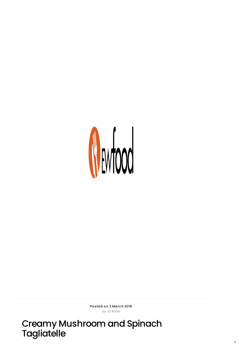

Posted on 2 March 2016 by Liz Robb

Creamy Mushroom and Spinach<br>Tagliatelle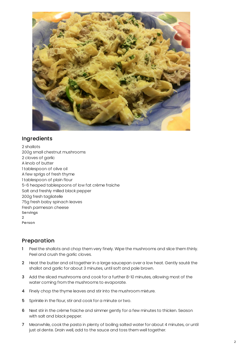

## Ingredients

2 shallots 200g small chestnut mushrooms 2 cloves of garlic A knob of butter 1 tablespoon of olive oil A few sprigs of fresh thyme 1 tablespoon of plain flour 5-6 heaped tablespoons of low fat crème fraiche Salt and freshly milled black pepper 200g fresh tagliatelle 75g fresh baby spinach leaves Fresh parmesan cheese Servings 2 Person

## Preparation

- 1 Peel the shallots and chop them very finely. Wipe the mushrooms and slice them thinly. Peel and crush the garlic cloves.
- 2 Heat the butter and oil together in a large saucepan over a low heat. Gently sauté the shallot and garlic for about 3 minutes, until soft and pale brown.
- 3 Add the sliced mushrooms and cook for a further 8-10 minutes, allowing most of the water coming from the mushrooms to evaporate.
- 4 Finely chop the thyme leaves and stir into the mushroom mixture.
- 5 Sprinkle in the flour, stir and cook for a minute or two.
- 6 Next stir in the crème fraiche and simmer gently for a few minutes to thicken. Season with salt and black pepper.
- 7 Meanwhile, cook the pasta in plenty of boiling salted water for about 4 minutes, or until just al dente. Drain well, add to the sauce and toss them well together.